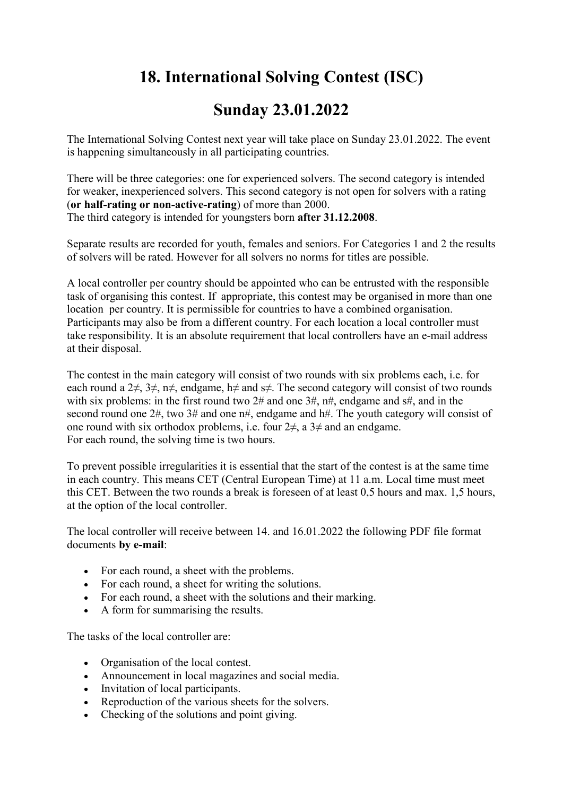## 18. International Solving Contest (ISC)

## Sunday 23.01.2022

The International Solving Contest next year will take place on Sunday 23.01.2022. The event is happening simultaneously in all participating countries.

There will be three categories: one for experienced solvers. The second category is intended for weaker, inexperienced solvers. This second category is not open for solvers with a rating (or half-rating or non-active-rating) of more than 2000. The third category is intended for youngsters born after 31.12.2008.

Separate results are recorded for youth, females and seniors. For Categories 1 and 2 the results of solvers will be rated. However for all solvers no norms for titles are possible.

A local controller per country should be appointed who can be entrusted with the responsible task of organising this contest. If appropriate, this contest may be organised in more than one location per country. It is permissible for countries to have a combined organisation. Participants may also be from a different country. For each location a local controller must take responsibility. It is an absolute requirement that local controllers have an e-mail address at their disposal.

The contest in the main category will consist of two rounds with six problems each, i.e. for each round a 2 $\neq$ , 3 $\neq$ , n $\neq$ , endgame, h $\neq$  and s $\neq$ . The second category will consist of two rounds with six problems: in the first round two  $2\#$  and one  $3\#$ ,  $n\#$ , endgame and  $s\#$ , and in the second round one 2#, two 3# and one n#, endgame and h#. The youth category will consist of one round with six orthodox problems, i.e. four  $2\neq$ , a  $3\neq$  and an endgame. For each round, the solving time is two hours.

To prevent possible irregularities it is essential that the start of the contest is at the same time in each country. This means CET (Central European Time) at 11 a.m. Local time must meet this CET. Between the two rounds a break is foreseen of at least 0,5 hours and max. 1,5 hours, at the option of the local controller.

The local controller will receive between 14. and 16.01.2022 the following PDF file format documents by e-mail:

- For each round, a sheet with the problems.
- For each round, a sheet for writing the solutions.
- For each round, a sheet with the solutions and their marking.
- A form for summarising the results.

The tasks of the local controller are:

- Organisation of the local contest.
- Announcement in local magazines and social media.
- Invitation of local participants.
- Reproduction of the various sheets for the solvers.
- Checking of the solutions and point giving.